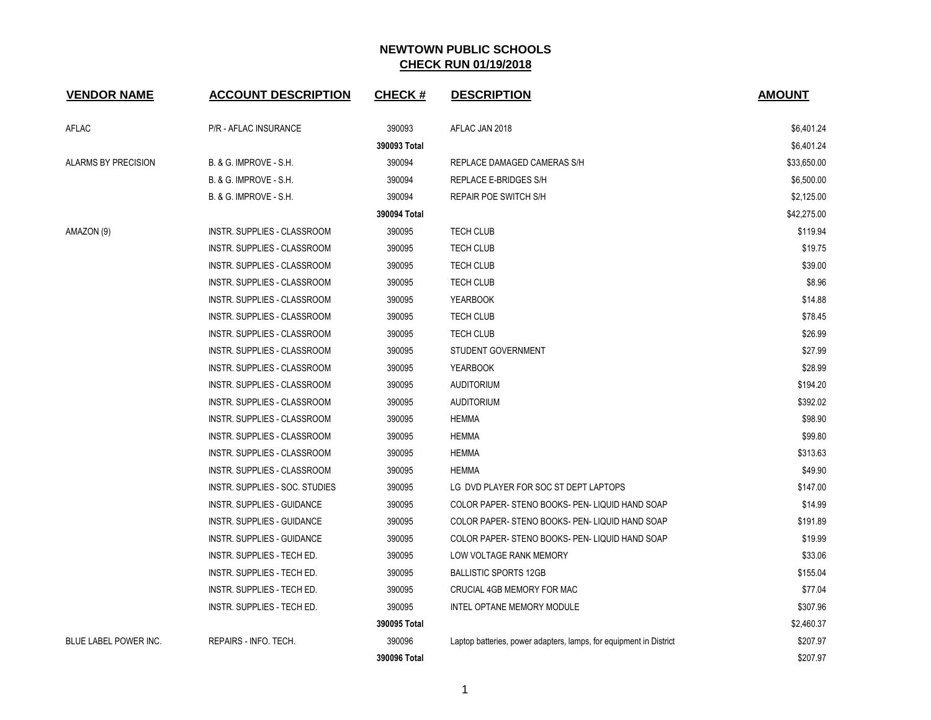| <b>VENDOR NAME</b>    | <b>ACCOUNT DESCRIPTION</b>         | CHECK #      | <b>DESCRIPTION</b>                                                 | <b>AMOUNT</b> |
|-----------------------|------------------------------------|--------------|--------------------------------------------------------------------|---------------|
| AFLAC                 | P/R - AFLAC INSURANCE              | 390093       | AFLAC JAN 2018                                                     | \$6,401.24    |
|                       |                                    | 390093 Total |                                                                    | \$6,401.24    |
| ALARMS BY PRECISION   | B. & G. IMPROVE - S.H.             | 390094       | REPLACE DAMAGED CAMERAS S/H                                        | \$33,650.00   |
|                       | B. & G. IMPROVE - S.H.             | 390094       | REPLACE E-BRIDGES S/H                                              | \$6,500.00    |
|                       | B. & G. IMPROVE - S.H.             | 390094       | REPAIR POE SWITCH S/H                                              | \$2,125.00    |
|                       |                                    | 390094 Total |                                                                    | \$42,275.00   |
| AMAZON (9)            | <b>INSTR. SUPPLIES - CLASSROOM</b> | 390095       | <b>TECH CLUB</b>                                                   | \$119.94      |
|                       | INSTR. SUPPLIES - CLASSROOM        | 390095       | TECH CLUB                                                          | \$19.75       |
|                       | INSTR. SUPPLIES - CLASSROOM        | 390095       | <b>TECH CLUB</b>                                                   | \$39.00       |
|                       | INSTR. SUPPLIES - CLASSROOM        | 390095       | TECH CLUB                                                          | \$8.96        |
|                       | INSTR. SUPPLIES - CLASSROOM        | 390095       | <b>YEARBOOK</b>                                                    | \$14.88       |
|                       | INSTR. SUPPLIES - CLASSROOM        | 390095       | <b>TECH CLUB</b>                                                   | \$78.45       |
|                       | INSTR. SUPPLIES - CLASSROOM        | 390095       | <b>TECH CLUB</b>                                                   | \$26.99       |
|                       | INSTR. SUPPLIES - CLASSROOM        | 390095       | STUDENT GOVERNMENT                                                 | \$27.99       |
|                       | INSTR. SUPPLIES - CLASSROOM        | 390095       | <b>YEARBOOK</b>                                                    | \$28.99       |
|                       | <b>INSTR. SUPPLIES - CLASSROOM</b> | 390095       | <b>AUDITORIUM</b>                                                  | \$194.20      |
|                       | INSTR. SUPPLIES - CLASSROOM        | 390095       | <b>AUDITORIUM</b>                                                  | \$392.02      |
|                       | INSTR. SUPPLIES - CLASSROOM        | 390095       | <b>HEMMA</b>                                                       | \$98.90       |
|                       | INSTR. SUPPLIES - CLASSROOM        | 390095       | <b>HEMMA</b>                                                       | \$99.80       |
|                       | INSTR. SUPPLIES - CLASSROOM        | 390095       | <b>HEMMA</b>                                                       | \$313.63      |
|                       | <b>INSTR. SUPPLIES - CLASSROOM</b> | 390095       | <b>HEMMA</b>                                                       | \$49.90       |
|                       | INSTR. SUPPLIES - SOC. STUDIES     | 390095       | LG DVD PLAYER FOR SOC ST DEPT LAPTOPS                              | \$147.00      |
|                       | INSTR. SUPPLIES - GUIDANCE         | 390095       | COLOR PAPER-STENO BOOKS- PEN-LIQUID HAND SOAP                      | \$14.99       |
|                       | <b>INSTR. SUPPLIES - GUIDANCE</b>  | 390095       | COLOR PAPER-STENO BOOKS- PEN-LIQUID HAND SOAP                      | \$191.89      |
|                       | INSTR. SUPPLIES - GUIDANCE         | 390095       | COLOR PAPER-STENO BOOKS- PEN-LIQUID HAND SOAP                      | \$19.99       |
|                       | INSTR. SUPPLIES - TECH ED.         | 390095       | LOW VOLTAGE RANK MEMORY                                            | \$33.06       |
|                       | INSTR. SUPPLIES - TECH ED.         | 390095       | <b>BALLISTIC SPORTS 12GB</b>                                       | \$155.04      |
|                       | INSTR. SUPPLIES - TECH ED.         | 390095       | CRUCIAL 4GB MEMORY FOR MAC                                         | \$77.04       |
|                       | INSTR. SUPPLIES - TECH ED.         | 390095       | INTEL OPTANE MEMORY MODULE                                         | \$307.96      |
|                       |                                    | 390095 Total |                                                                    | \$2,460.37    |
| BLUE LABEL POWER INC. | REPAIRS - INFO. TECH.              | 390096       | Laptop batteries, power adapters, lamps, for equipment in District | \$207.97      |
|                       |                                    | 390096 Total |                                                                    | \$207.97      |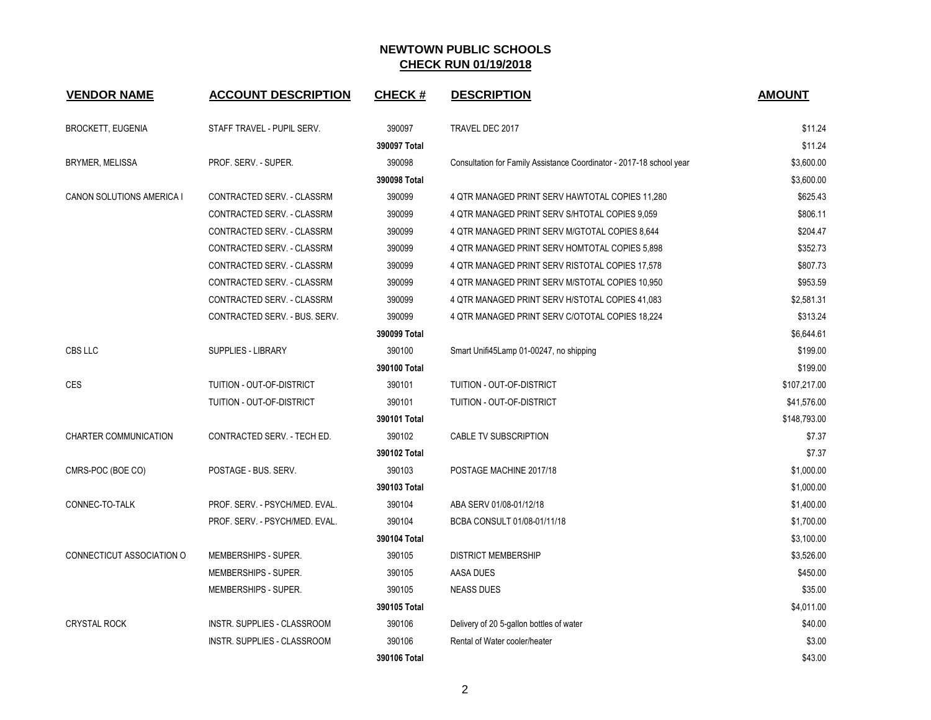| <b>VENDOR NAME</b>           | <b>ACCOUNT DESCRIPTION</b>         | <b>CHECK#</b> | <b>DESCRIPTION</b>                                                   | <b>AMOUNT</b> |
|------------------------------|------------------------------------|---------------|----------------------------------------------------------------------|---------------|
| <b>BROCKETT, EUGENIA</b>     | STAFF TRAVEL - PUPIL SERV.         | 390097        | TRAVEL DEC 2017                                                      | \$11.24       |
|                              |                                    | 390097 Total  |                                                                      | \$11.24       |
| BRYMER, MELISSA              | PROF. SERV. - SUPER.               | 390098        | Consultation for Family Assistance Coordinator - 2017-18 school year | \$3,600.00    |
|                              |                                    | 390098 Total  |                                                                      | \$3,600.00    |
| CANON SOLUTIONS AMERICA I    | CONTRACTED SERV. - CLASSRM         | 390099        | 4 QTR MANAGED PRINT SERV HAWTOTAL COPIES 11,280                      | \$625.43      |
|                              | CONTRACTED SERV. - CLASSRM         | 390099        | 4 QTR MANAGED PRINT SERV S/HTOTAL COPIES 9,059                       | \$806.11      |
|                              | CONTRACTED SERV. - CLASSRM         | 390099        | 4 QTR MANAGED PRINT SERV M/GTOTAL COPIES 8,644                       | \$204.47      |
|                              | CONTRACTED SERV. - CLASSRM         | 390099        | 4 QTR MANAGED PRINT SERV HOMTOTAL COPIES 5,898                       | \$352.73      |
|                              | CONTRACTED SERV. - CLASSRM         | 390099        | 4 QTR MANAGED PRINT SERV RISTOTAL COPIES 17,578                      | \$807.73      |
|                              | CONTRACTED SERV. - CLASSRM         | 390099        | 4 QTR MANAGED PRINT SERV M/STOTAL COPIES 10,950                      | \$953.59      |
|                              | CONTRACTED SERV. - CLASSRM         | 390099        | 4 QTR MANAGED PRINT SERV H/STOTAL COPIES 41,083                      | \$2,581.31    |
|                              | CONTRACTED SERV. - BUS. SERV.      | 390099        | 4 QTR MANAGED PRINT SERV C/OTOTAL COPIES 18,224                      | \$313.24      |
|                              |                                    | 390099 Total  |                                                                      | \$6,644.61    |
| CBS LLC                      | <b>SUPPLIES - LIBRARY</b>          | 390100        | Smart Unifi45Lamp 01-00247, no shipping                              | \$199.00      |
|                              |                                    | 390100 Total  |                                                                      | \$199.00      |
| <b>CES</b>                   | TUITION - OUT-OF-DISTRICT          | 390101        | TUITION - OUT-OF-DISTRICT                                            | \$107,217.00  |
|                              | TUITION - OUT-OF-DISTRICT          | 390101        | TUITION - OUT-OF-DISTRICT                                            | \$41,576.00   |
|                              |                                    | 390101 Total  |                                                                      | \$148,793.00  |
| <b>CHARTER COMMUNICATION</b> | CONTRACTED SERV. - TECH ED.        | 390102        | CABLE TV SUBSCRIPTION                                                | \$7.37        |
|                              |                                    | 390102 Total  |                                                                      | \$7.37        |
| CMRS-POC (BOE CO)            | POSTAGE - BUS. SERV.               | 390103        | POSTAGE MACHINE 2017/18                                              | \$1,000.00    |
|                              |                                    | 390103 Total  |                                                                      | \$1,000.00    |
| CONNEC-TO-TALK               | PROF. SERV. - PSYCH/MED. EVAL.     | 390104        | ABA SERV 01/08-01/12/18                                              | \$1,400.00    |
|                              | PROF. SERV. - PSYCH/MED. EVAL.     | 390104        | BCBA CONSULT 01/08-01/11/18                                          | \$1,700.00    |
|                              |                                    | 390104 Total  |                                                                      | \$3,100.00    |
| CONNECTICUT ASSOCIATION O    | MEMBERSHIPS - SUPER.               | 390105        | <b>DISTRICT MEMBERSHIP</b>                                           | \$3,526.00    |
|                              | MEMBERSHIPS - SUPER.               | 390105        | AASA DUES                                                            | \$450.00      |
|                              | MEMBERSHIPS - SUPER.               | 390105        | <b>NEASS DUES</b>                                                    | \$35.00       |
|                              |                                    | 390105 Total  |                                                                      | \$4,011.00    |
| <b>CRYSTAL ROCK</b>          | INSTR. SUPPLIES - CLASSROOM        | 390106        | Delivery of 20 5-gallon bottles of water                             | \$40.00       |
|                              | <b>INSTR. SUPPLIES - CLASSROOM</b> | 390106        | Rental of Water cooler/heater                                        | \$3.00        |
|                              |                                    | 390106 Total  |                                                                      | \$43.00       |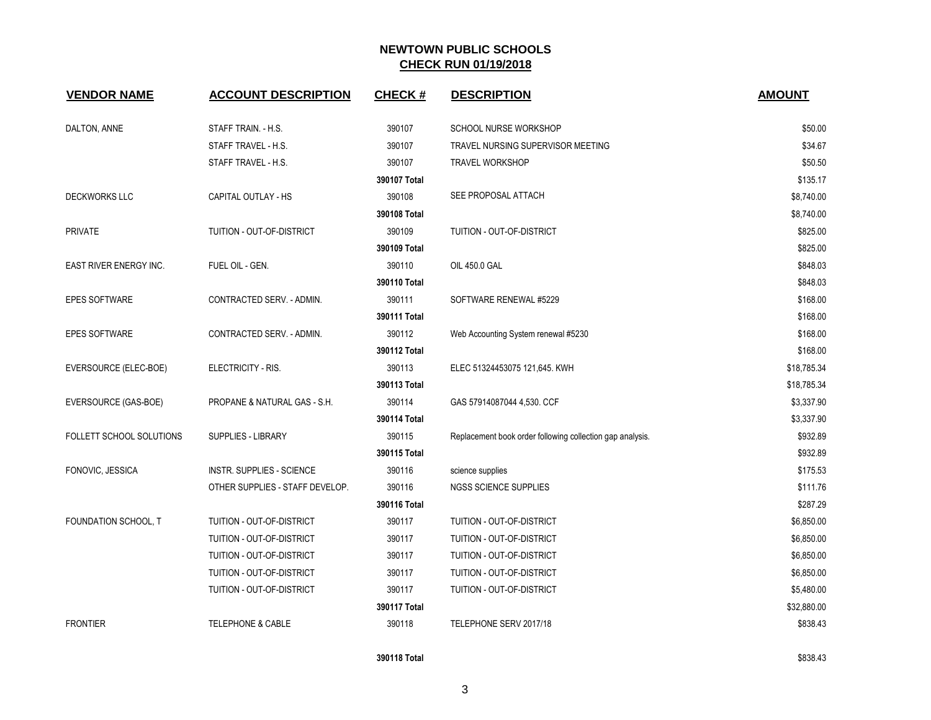| <b>VENDOR NAME</b>              | <b>ACCOUNT DESCRIPTION</b>       | CHECK #      | <b>DESCRIPTION</b>                                        | <b>AMOUNT</b> |
|---------------------------------|----------------------------------|--------------|-----------------------------------------------------------|---------------|
| DALTON, ANNE                    | STAFF TRAIN. - H.S.              | 390107       | SCHOOL NURSE WORKSHOP                                     | \$50.00       |
|                                 | STAFF TRAVEL - H.S.              | 390107       | TRAVEL NURSING SUPERVISOR MEETING                         | \$34.67       |
|                                 | STAFF TRAVEL - H.S.              | 390107       | <b>TRAVEL WORKSHOP</b>                                    | \$50.50       |
|                                 |                                  | 390107 Total |                                                           | \$135.17      |
| DECKWORKS LLC                   | CAPITAL OUTLAY - HS              | 390108       | SEE PROPOSAL ATTACH                                       | \$8,740.00    |
|                                 |                                  | 390108 Total |                                                           | \$8,740.00    |
| <b>PRIVATE</b>                  | TUITION - OUT-OF-DISTRICT        | 390109       | TUITION - OUT-OF-DISTRICT                                 | \$825.00      |
|                                 |                                  | 390109 Total |                                                           | \$825.00      |
| EAST RIVER ENERGY INC.          | FUEL OIL - GEN.                  | 390110       | OIL 450.0 GAL                                             | \$848.03      |
|                                 |                                  | 390110 Total |                                                           | \$848.03      |
| <b>EPES SOFTWARE</b>            | CONTRACTED SERV. - ADMIN.        | 390111       | SOFTWARE RENEWAL #5229                                    | \$168.00      |
|                                 |                                  | 390111 Total |                                                           | \$168.00      |
| <b>EPES SOFTWARE</b>            | CONTRACTED SERV. - ADMIN.        | 390112       | Web Accounting System renewal #5230                       | \$168.00      |
|                                 |                                  | 390112 Total |                                                           | \$168.00      |
| EVERSOURCE (ELEC-BOE)           | ELECTRICITY - RIS.               | 390113       | ELEC 51324453075 121,645. KWH                             | \$18,785.34   |
|                                 |                                  | 390113 Total |                                                           | \$18,785.34   |
| EVERSOURCE (GAS-BOE)            | PROPANE & NATURAL GAS - S.H.     | 390114       | GAS 57914087044 4,530. CCF                                | \$3,337.90    |
|                                 |                                  | 390114 Total |                                                           | \$3,337.90    |
| <b>FOLLETT SCHOOL SOLUTIONS</b> | <b>SUPPLIES - LIBRARY</b>        | 390115       | Replacement book order following collection gap analysis. | \$932.89      |
|                                 |                                  | 390115 Total |                                                           | \$932.89      |
| FONOVIC, JESSICA                | <b>INSTR. SUPPLIES - SCIENCE</b> | 390116       | science supplies                                          | \$175.53      |
|                                 | OTHER SUPPLIES - STAFF DEVELOP.  | 390116       | NGSS SCIENCE SUPPLIES                                     | \$111.76      |
|                                 |                                  | 390116 Total |                                                           | \$287.29      |
| FOUNDATION SCHOOL, T            | TUITION - OUT-OF-DISTRICT        | 390117       | TUITION - OUT-OF-DISTRICT                                 | \$6,850.00    |
|                                 | TUITION - OUT-OF-DISTRICT        | 390117       | TUITION - OUT-OF-DISTRICT                                 | \$6,850.00    |
|                                 | TUITION - OUT-OF-DISTRICT        | 390117       | TUITION - OUT-OF-DISTRICT                                 | \$6,850.00    |
|                                 | TUITION - OUT-OF-DISTRICT        | 390117       | TUITION - OUT-OF-DISTRICT                                 | \$6,850.00    |
|                                 | TUITION - OUT-OF-DISTRICT        | 390117       | TUITION - OUT-OF-DISTRICT                                 | \$5,480.00    |
|                                 |                                  | 390117 Total |                                                           | \$32,880.00   |
| <b>FRONTIER</b>                 | TELEPHONE & CABLE                | 390118       | TELEPHONE SERV 2017/18                                    | \$838.43      |
|                                 |                                  |              |                                                           |               |

#### **390118 Total \$838.43**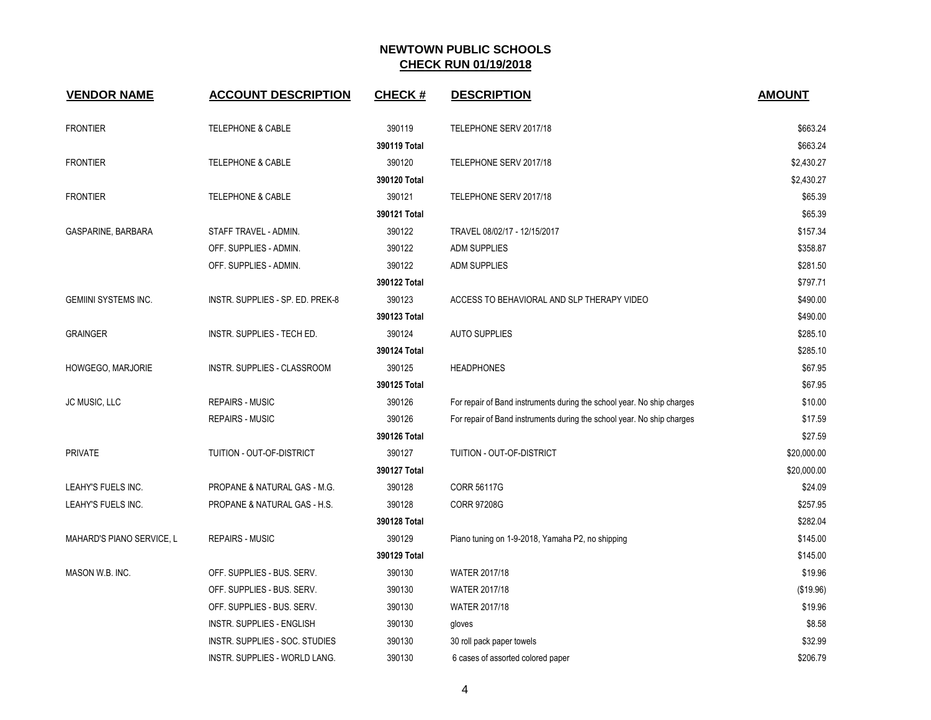| <b>VENDOR NAME</b>          | <b>ACCOUNT DESCRIPTION</b>       | <b>CHECK#</b> | <b>DESCRIPTION</b>                                                     | <b>AMOUNT</b> |
|-----------------------------|----------------------------------|---------------|------------------------------------------------------------------------|---------------|
| <b>FRONTIER</b>             | TELEPHONE & CABLE                | 390119        | TELEPHONE SERV 2017/18                                                 | \$663.24      |
|                             |                                  | 390119 Total  |                                                                        | \$663.24      |
| <b>FRONTIER</b>             | <b>TELEPHONE &amp; CABLE</b>     | 390120        | TELEPHONE SERV 2017/18                                                 | \$2,430.27    |
|                             |                                  | 390120 Total  |                                                                        | \$2,430.27    |
| <b>FRONTIER</b>             | TELEPHONE & CABLE                | 390121        | TELEPHONE SERV 2017/18                                                 | \$65.39       |
|                             |                                  | 390121 Total  |                                                                        | \$65.39       |
| GASPARINE, BARBARA          | STAFF TRAVEL - ADMIN.            | 390122        | TRAVEL 08/02/17 - 12/15/2017                                           | \$157.34      |
|                             | OFF. SUPPLIES - ADMIN.           | 390122        | <b>ADM SUPPLIES</b>                                                    | \$358.87      |
|                             | OFF. SUPPLIES - ADMIN.           | 390122        | <b>ADM SUPPLIES</b>                                                    | \$281.50      |
|                             |                                  | 390122 Total  |                                                                        | \$797.71      |
| <b>GEMIINI SYSTEMS INC.</b> | INSTR. SUPPLIES - SP. ED. PREK-8 | 390123        | ACCESS TO BEHAVIORAL AND SLP THERAPY VIDEO                             | \$490.00      |
|                             |                                  | 390123 Total  |                                                                        | \$490.00      |
| <b>GRAINGER</b>             | INSTR. SUPPLIES - TECH ED.       | 390124        | <b>AUTO SUPPLIES</b>                                                   | \$285.10      |
|                             |                                  | 390124 Total  |                                                                        | \$285.10      |
| HOWGEGO, MARJORIE           | INSTR. SUPPLIES - CLASSROOM      | 390125        | <b>HEADPHONES</b>                                                      | \$67.95       |
|                             |                                  | 390125 Total  |                                                                        | \$67.95       |
| JC MUSIC, LLC               | <b>REPAIRS - MUSIC</b>           | 390126        | For repair of Band instruments during the school year. No ship charges | \$10.00       |
|                             | <b>REPAIRS - MUSIC</b>           | 390126        | For repair of Band instruments during the school year. No ship charges | \$17.59       |
|                             |                                  | 390126 Total  |                                                                        | \$27.59       |
| <b>PRIVATE</b>              | TUITION - OUT-OF-DISTRICT        | 390127        | TUITION - OUT-OF-DISTRICT                                              | \$20,000.00   |
|                             |                                  | 390127 Total  |                                                                        | \$20,000.00   |
| LEAHY'S FUELS INC.          | PROPANE & NATURAL GAS - M.G.     | 390128        | <b>CORR 56117G</b>                                                     | \$24.09       |
| LEAHY'S FUELS INC.          | PROPANE & NATURAL GAS - H.S.     | 390128        | <b>CORR 97208G</b>                                                     | \$257.95      |
|                             |                                  | 390128 Total  |                                                                        | \$282.04      |
| MAHARD'S PIANO SERVICE, L   | <b>REPAIRS - MUSIC</b>           | 390129        | Piano tuning on 1-9-2018, Yamaha P2, no shipping                       | \$145.00      |
|                             |                                  | 390129 Total  |                                                                        | \$145.00      |
| MASON W.B. INC.             | OFF. SUPPLIES - BUS. SERV.       | 390130        | <b>WATER 2017/18</b>                                                   | \$19.96       |
|                             | OFF. SUPPLIES - BUS. SERV.       | 390130        | WATER 2017/18                                                          | (\$19.96)     |
|                             | OFF. SUPPLIES - BUS. SERV.       | 390130        | WATER 2017/18                                                          | \$19.96       |
|                             | <b>INSTR. SUPPLIES - ENGLISH</b> | 390130        | gloves                                                                 | \$8.58        |
|                             | INSTR. SUPPLIES - SOC. STUDIES   | 390130        | 30 roll pack paper towels                                              | \$32.99       |
|                             | INSTR. SUPPLIES - WORLD LANG.    | 390130        | 6 cases of assorted colored paper                                      | \$206.79      |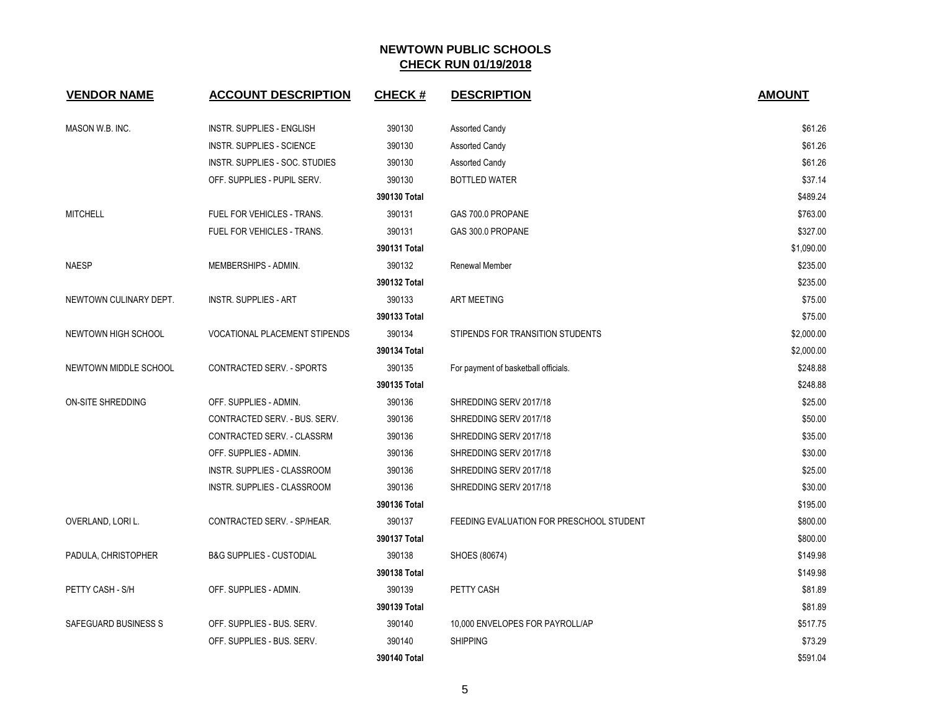| <b>VENDOR NAME</b>       | <b>ACCOUNT DESCRIPTION</b>           | <b>CHECK#</b> | <b>DESCRIPTION</b>                       | <b>AMOUNT</b> |
|--------------------------|--------------------------------------|---------------|------------------------------------------|---------------|
| MASON W.B. INC.          | INSTR. SUPPLIES - ENGLISH            | 390130        | <b>Assorted Candy</b>                    | \$61.26       |
|                          | <b>INSTR. SUPPLIES - SCIENCE</b>     | 390130        | <b>Assorted Candy</b>                    | \$61.26       |
|                          | INSTR. SUPPLIES - SOC. STUDIES       | 390130        | <b>Assorted Candy</b>                    | \$61.26       |
|                          | OFF. SUPPLIES - PUPIL SERV.          | 390130        | <b>BOTTLED WATER</b>                     | \$37.14       |
|                          |                                      | 390130 Total  |                                          | \$489.24      |
| <b>MITCHELL</b>          | FUEL FOR VEHICLES - TRANS.           | 390131        | GAS 700.0 PROPANE                        | \$763.00      |
|                          | FUEL FOR VEHICLES - TRANS.           | 390131        | GAS 300.0 PROPANE                        | \$327.00      |
|                          |                                      | 390131 Total  |                                          | \$1,090.00    |
| <b>NAESP</b>             | MEMBERSHIPS - ADMIN.                 | 390132        | Renewal Member                           | \$235.00      |
|                          |                                      | 390132 Total  |                                          | \$235.00      |
| NEWTOWN CULINARY DEPT.   | <b>INSTR. SUPPLIES - ART</b>         | 390133        | <b>ART MEETING</b>                       | \$75.00       |
|                          |                                      | 390133 Total  |                                          | \$75.00       |
| NEWTOWN HIGH SCHOOL      | <b>VOCATIONAL PLACEMENT STIPENDS</b> | 390134        | STIPENDS FOR TRANSITION STUDENTS         | \$2,000.00    |
|                          |                                      | 390134 Total  |                                          | \$2,000.00    |
| NEWTOWN MIDDLE SCHOOL    | CONTRACTED SERV. - SPORTS            | 390135        | For payment of basketball officials.     | \$248.88      |
|                          |                                      | 390135 Total  |                                          | \$248.88      |
| <b>ON-SITE SHREDDING</b> | OFF. SUPPLIES - ADMIN.               | 390136        | SHREDDING SERV 2017/18                   | \$25.00       |
|                          | CONTRACTED SERV. - BUS. SERV.        | 390136        | SHREDDING SERV 2017/18                   | \$50.00       |
|                          | CONTRACTED SERV. - CLASSRM           | 390136        | SHREDDING SERV 2017/18                   | \$35.00       |
|                          | OFF. SUPPLIES - ADMIN.               | 390136        | SHREDDING SERV 2017/18                   | \$30.00       |
|                          | INSTR. SUPPLIES - CLASSROOM          | 390136        | SHREDDING SERV 2017/18                   | \$25.00       |
|                          | INSTR. SUPPLIES - CLASSROOM          | 390136        | SHREDDING SERV 2017/18                   | \$30.00       |
|                          |                                      | 390136 Total  |                                          | \$195.00      |
| OVERLAND, LORI L.        | CONTRACTED SERV. - SP/HEAR.          | 390137        | FEEDING EVALUATION FOR PRESCHOOL STUDENT | \$800.00      |
|                          |                                      | 390137 Total  |                                          | \$800.00      |
| PADULA, CHRISTOPHER      | <b>B&amp;G SUPPLIES - CUSTODIAL</b>  | 390138        | SHOES (80674)                            | \$149.98      |
|                          |                                      | 390138 Total  |                                          | \$149.98      |
| PETTY CASH - S/H         | OFF. SUPPLIES - ADMIN.               | 390139        | PETTY CASH                               | \$81.89       |
|                          |                                      | 390139 Total  |                                          | \$81.89       |
| SAFEGUARD BUSINESS S     | OFF. SUPPLIES - BUS. SERV.           | 390140        | 10,000 ENVELOPES FOR PAYROLL/AP          | \$517.75      |
|                          | OFF. SUPPLIES - BUS. SERV.           | 390140        | <b>SHIPPING</b>                          | \$73.29       |
|                          |                                      | 390140 Total  |                                          | \$591.04      |